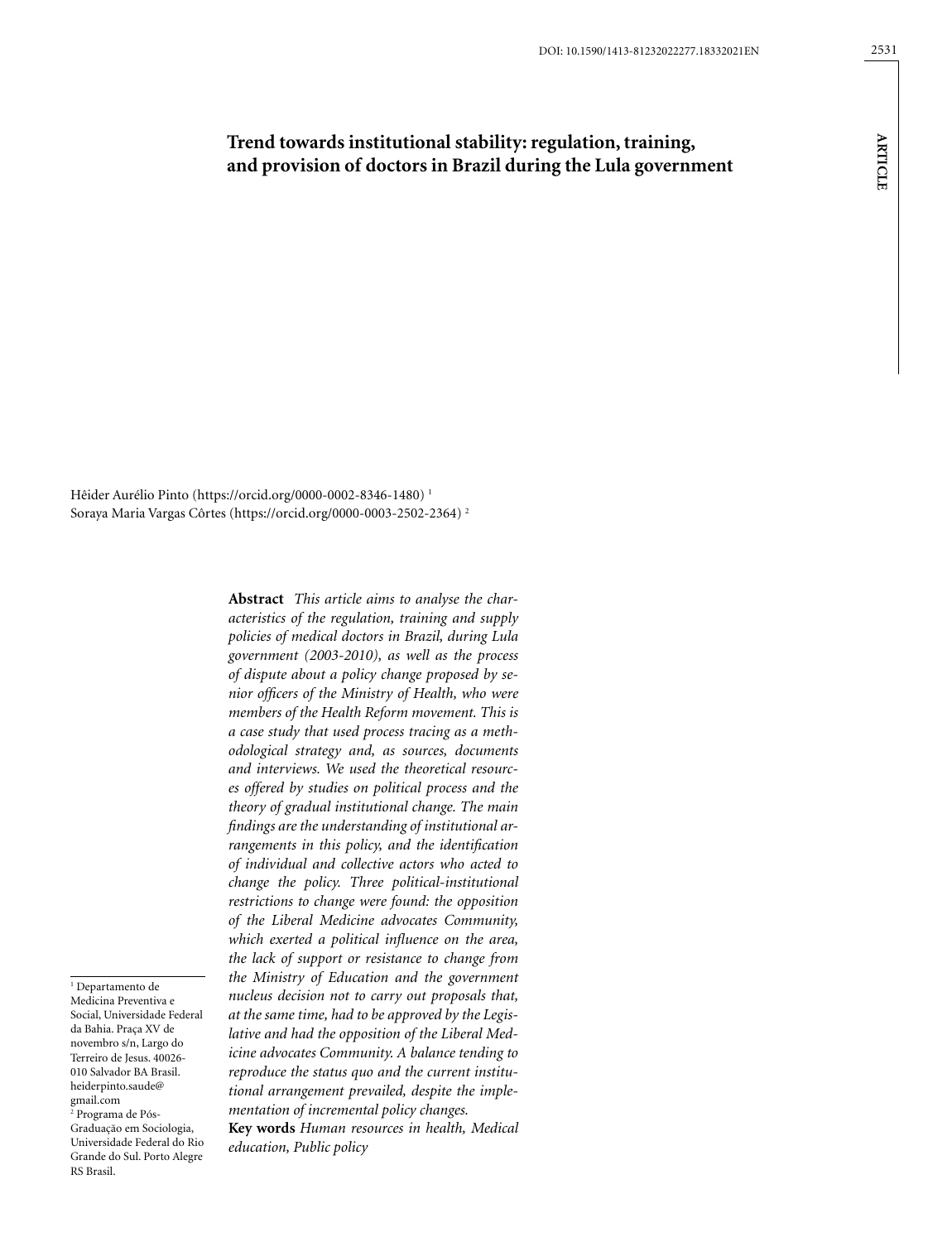# **Trend towards institutional stability: regulation, training, and provision of doctors in Brazil during the Lula government**

Hêider Aurélio Pinto (https://orcid.org/0000-0002-8346-1480) 1 Soraya Maria Vargas Côrtes (https://orcid.org/0000-0003-2502-2364) 2

1 Departamento de Medicina Preventiva e Social, Universidade Federal da Bahia. Praça XV de novembro s/n, Largo do Terreiro de Jesus. 40026- 010 Salvador BA Brasil. [heiderpinto.saude@](mailto:heiderpinto.saude@gmail.com) [gmail.com](mailto:heiderpinto.saude@gmail.com) 2 Programa de Pós-Graduação em Sociologia, Universidade Federal do Rio Grande do Sul. Porto Alegre

RS Brasil.

**Abstract** *This article aims to analyse the characteristics of the regulation, training and supply policies of medical doctors in Brazil, during Lula government (2003-2010), as well as the process of dispute about a policy change proposed by senior officers of the Ministry of Health, who were members of the Health Reform movement. This is a case study that used process tracing as a methodological strategy and, as sources, documents and interviews. We used the theoretical resources offered by studies on political process and the theory of gradual institutional change. The main findings are the understanding of institutional arrangements in this policy, and the identification of individual and collective actors who acted to change the policy. Three political-institutional restrictions to change were found: the opposition of the Liberal Medicine advocates Community, which exerted a political influence on the area, the lack of support or resistance to change from the Ministry of Education and the government nucleus decision not to carry out proposals that, at the same time, had to be approved by the Legislative and had the opposition of the Liberal Medicine advocates Community. A balance tending to reproduce the status quo and the current institutional arrangement prevailed, despite the implementation of incremental policy changes.*

**Key words** *Human resources in health, Medical education, Public policy*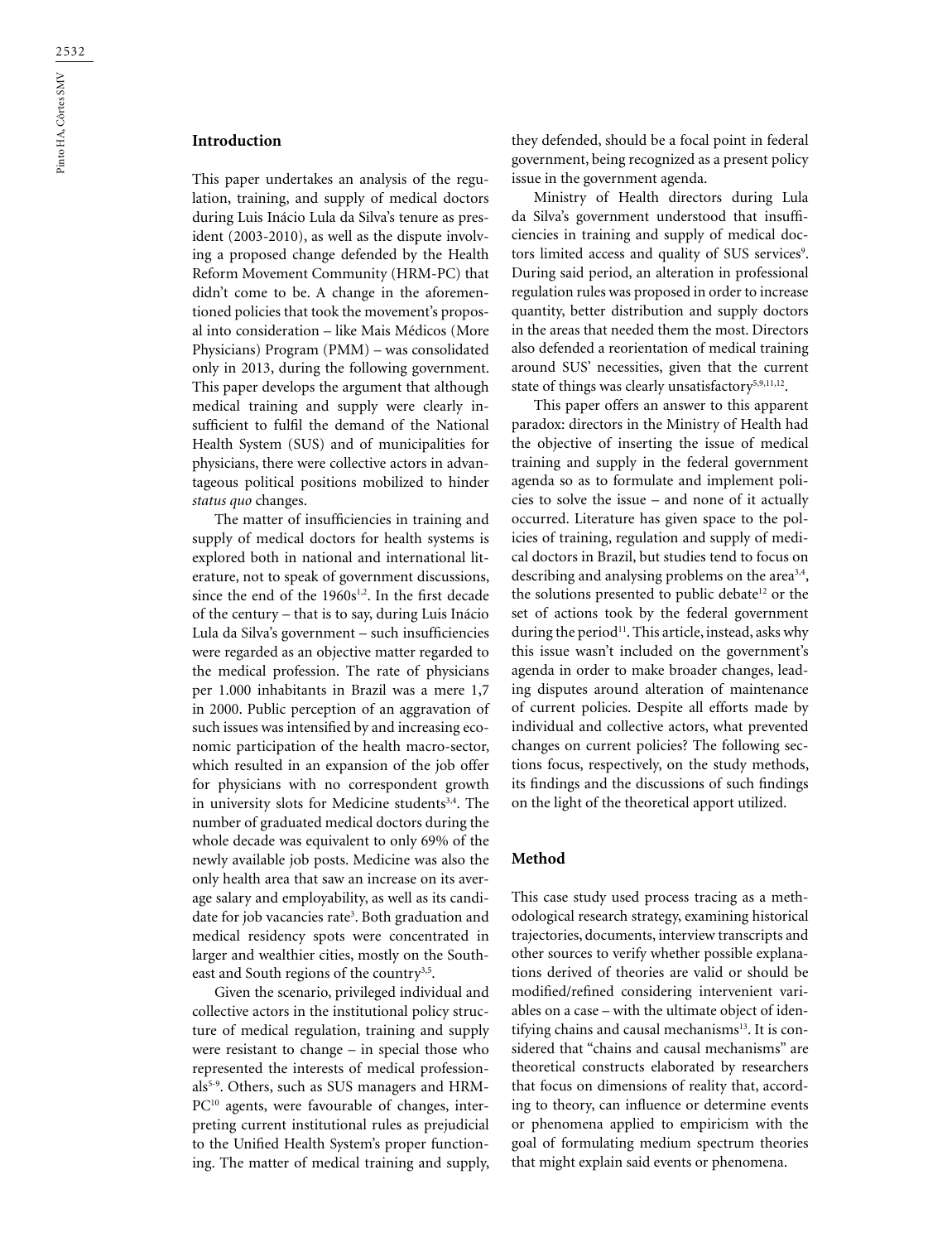### **Introduction**

This paper undertakes an analysis of the regulation, training, and supply of medical doctors during Luis Inácio Lula da Silva's tenure as president (2003-2010), as well as the dispute involving a proposed change defended by the Health Reform Movement Community (HRM-PC) that didn't come to be. A change in the aforementioned policies that took the movement's proposal into consideration – like Mais Médicos (More Physicians) Program (PMM) – was consolidated only in 2013, during the following government. This paper develops the argument that although medical training and supply were clearly insufficient to fulfil the demand of the National Health System (SUS) and of municipalities for physicians, there were collective actors in advantageous political positions mobilized to hinder *status quo* changes.

The matter of insufficiencies in training and supply of medical doctors for health systems is explored both in national and international literature, not to speak of government discussions, since the end of the  $1960s^{1,2}$ . In the first decade of the century – that is to say, during Luis Inácio Lula da Silva's government – such insufficiencies were regarded as an objective matter regarded to the medical profession. The rate of physicians per 1.000 inhabitants in Brazil was a mere 1,7 in 2000. Public perception of an aggravation of such issues was intensified by and increasing economic participation of the health macro-sector, which resulted in an expansion of the job offer for physicians with no correspondent growth in university slots for Medicine students<sup>3,4</sup>. The number of graduated medical doctors during the whole decade was equivalent to only 69% of the newly available job posts. Medicine was also the only health area that saw an increase on its average salary and employability, as well as its candidate for job vacancies rate<sup>3</sup>. Both graduation and medical residency spots were concentrated in larger and wealthier cities, mostly on the Southeast and South regions of the country<sup>3,5</sup>.

Given the scenario, privileged individual and collective actors in the institutional policy structure of medical regulation, training and supply were resistant to change – in special those who represented the interests of medical professionals<sup>5-9</sup>. Others, such as SUS managers and HRM-PC<sup>10</sup> agents, were favourable of changes, interpreting current institutional rules as prejudicial to the Unified Health System's proper functioning. The matter of medical training and supply, they defended, should be a focal point in federal government, being recognized as a present policy issue in the government agenda.

Ministry of Health directors during Lula da Silva's government understood that insufficiencies in training and supply of medical doctors limited access and quality of SUS services<sup>9</sup>. During said period, an alteration in professional regulation rules was proposed in order to increase quantity, better distribution and supply doctors in the areas that needed them the most. Directors also defended a reorientation of medical training around SUS' necessities, given that the current state of things was clearly unsatisfactory<sup>5,9,11,12</sup>.

This paper offers an answer to this apparent paradox: directors in the Ministry of Health had the objective of inserting the issue of medical training and supply in the federal government agenda so as to formulate and implement policies to solve the issue – and none of it actually occurred. Literature has given space to the policies of training, regulation and supply of medical doctors in Brazil, but studies tend to focus on describing and analysing problems on the area<sup>3,4</sup>, the solutions presented to public debate<sup>12</sup> or the set of actions took by the federal government during the period<sup>11</sup>. This article, instead, asks why this issue wasn't included on the government's agenda in order to make broader changes, leading disputes around alteration of maintenance of current policies. Despite all efforts made by individual and collective actors, what prevented changes on current policies? The following sections focus, respectively, on the study methods, its findings and the discussions of such findings on the light of the theoretical apport utilized.

#### **Method**

This case study used process tracing as a methodological research strategy, examining historical trajectories, documents, interview transcripts and other sources to verify whether possible explanations derived of theories are valid or should be modified/refined considering intervenient variables on a case – with the ultimate object of identifying chains and causal mechanisms $13$ . It is considered that "chains and causal mechanisms" are theoretical constructs elaborated by researchers that focus on dimensions of reality that, according to theory, can influence or determine events or phenomena applied to empiricism with the goal of formulating medium spectrum theories that might explain said events or phenomena.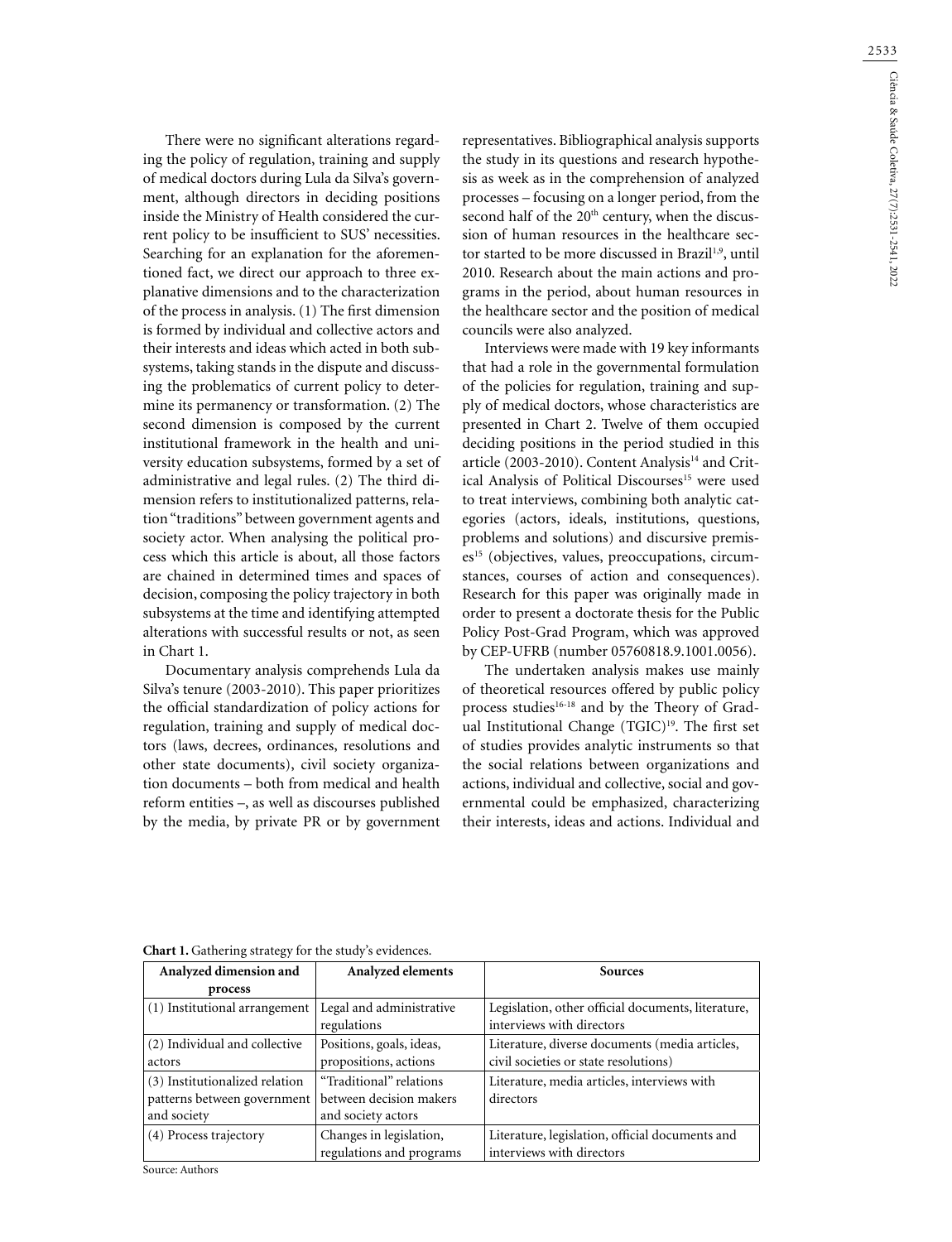2533

There were no significant alterations regarding the policy of regulation, training and supply of medical doctors during Lula da Silva's government, although directors in deciding positions inside the Ministry of Health considered the current policy to be insufficient to SUS' necessities. Searching for an explanation for the aforementioned fact, we direct our approach to three explanative dimensions and to the characterization of the process in analysis. (1) The first dimension is formed by individual and collective actors and their interests and ideas which acted in both subsystems, taking stands in the dispute and discussing the problematics of current policy to determine its permanency or transformation. (2) The second dimension is composed by the current institutional framework in the health and university education subsystems, formed by a set of administrative and legal rules. (2) The third dimension refers to institutionalized patterns, relation "traditions" between government agents and society actor. When analysing the political process which this article is about, all those factors are chained in determined times and spaces of decision, composing the policy trajectory in both subsystems at the time and identifying attempted alterations with successful results or not, as seen in Chart 1.

Documentary analysis comprehends Lula da Silva's tenure (2003-2010). This paper prioritizes the official standardization of policy actions for regulation, training and supply of medical doctors (laws, decrees, ordinances, resolutions and other state documents), civil society organization documents – both from medical and health reform entities –, as well as discourses published by the media, by private PR or by government representatives. Bibliographical analysis supports the study in its questions and research hypothesis as week as in the comprehension of analyzed processes – focusing on a longer period, from the second half of the 20<sup>th</sup> century, when the discussion of human resources in the healthcare sector started to be more discussed in Brazil<sup>1,9</sup>, until 2010. Research about the main actions and programs in the period, about human resources in the healthcare sector and the position of medical councils were also analyzed.

Interviews were made with 19 key informants that had a role in the governmental formulation of the policies for regulation, training and supply of medical doctors, whose characteristics are presented in Chart 2. Twelve of them occupied deciding positions in the period studied in this article (2003-2010). Content Analysis<sup>14</sup> and Critical Analysis of Political Discourses<sup>15</sup> were used to treat interviews, combining both analytic categories (actors, ideals, institutions, questions, problems and solutions) and discursive premises<sup>15</sup> (objectives, values, preoccupations, circumstances, courses of action and consequences). Research for this paper was originally made in order to present a doctorate thesis for the Public Policy Post-Grad Program, which was approved by CEP-UFRB (number 05760818.9.1001.0056).

The undertaken analysis makes use mainly of theoretical resources offered by public policy process studies<sup>16-18</sup> and by the Theory of Gradual Institutional Change (TGIC)<sup>19</sup>. The first set of studies provides analytic instruments so that the social relations between organizations and actions, individual and collective, social and governmental could be emphasized, characterizing their interests, ideas and actions. Individual and

| Analyzed dimension and         | Analyzed elements                                   | <b>Sources</b>                                                                  |  |  |  |
|--------------------------------|-----------------------------------------------------|---------------------------------------------------------------------------------|--|--|--|
| process                        |                                                     |                                                                                 |  |  |  |
| (1) Institutional arrangement  | Legal and administrative<br>regulations             | Legislation, other official documents, literature,<br>interviews with directors |  |  |  |
| (2) Individual and collective  | Positions, goals, ideas,                            | Literature, diverse documents (media articles,                                  |  |  |  |
| actors                         | propositions, actions                               | civil societies or state resolutions)                                           |  |  |  |
| (3) Institutionalized relation | "Traditional" relations                             | Literature, media articles, interviews with                                     |  |  |  |
| patterns between government    | between decision makers                             | directors                                                                       |  |  |  |
| and society                    | and society actors                                  |                                                                                 |  |  |  |
| (4) Process trajectory         | Changes in legislation,<br>regulations and programs | Literature, legislation, official documents and<br>interviews with directors    |  |  |  |

**Chart 1.** Gathering strategy for the study's evidences.

Source: Authors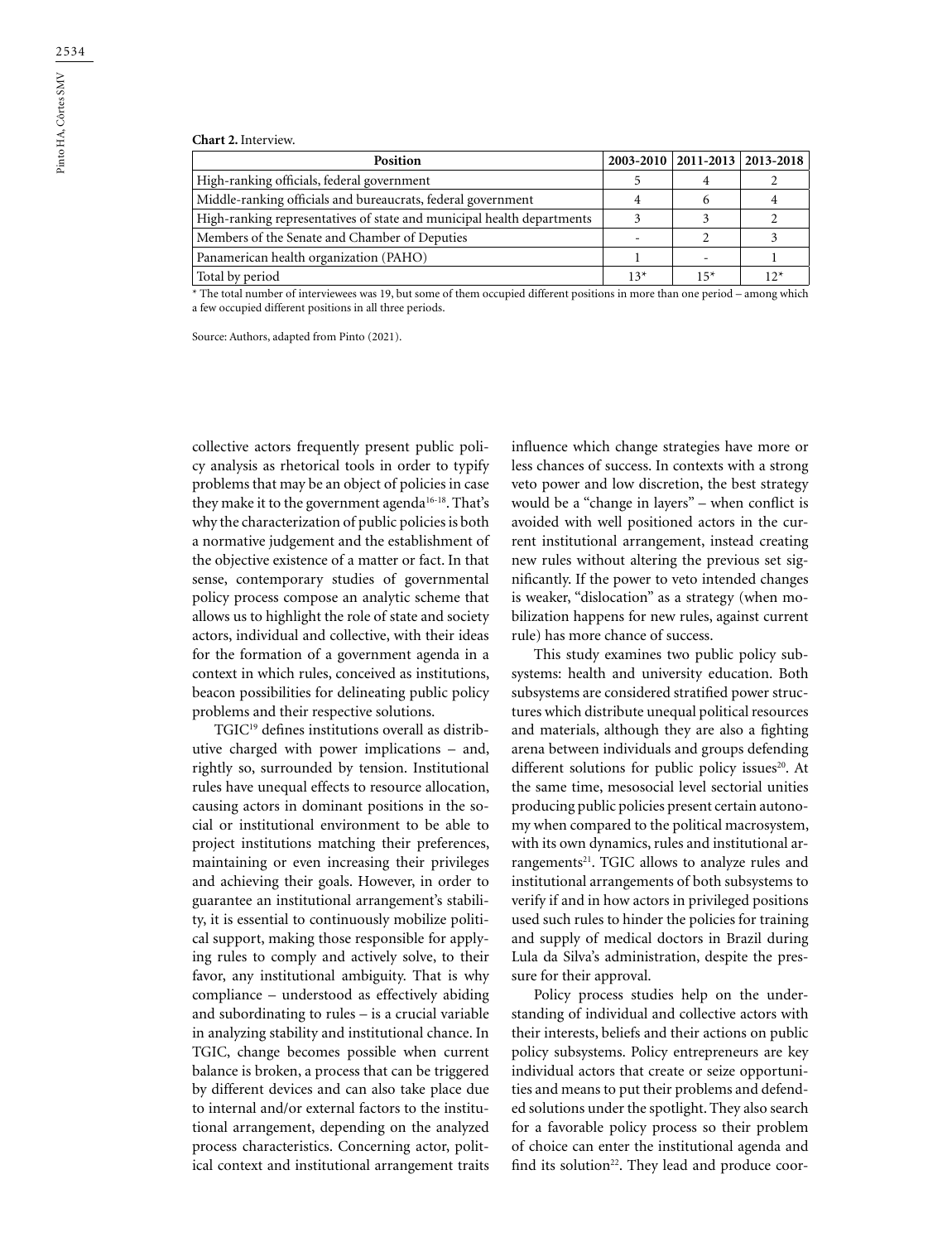#### **Chart 2.** Interview.

| Position                                                               |       | $2003 - 2010$   2011-2013   2013-2018 |  |
|------------------------------------------------------------------------|-------|---------------------------------------|--|
| High-ranking officials, federal government                             |       |                                       |  |
| Middle-ranking officials and bureaucrats, federal government           |       |                                       |  |
| High-ranking representatives of state and municipal health departments |       |                                       |  |
| Members of the Senate and Chamber of Deputies                          |       |                                       |  |
| Panamerican health organization (PAHO)                                 |       |                                       |  |
| Total by period                                                        | $13*$ | $15*$                                 |  |

\* The total number of interviewees was 19, but some of them occupied different positions in more than one period – among which a few occupied different positions in all three periods.

Source: Authors, adapted from Pinto (2021).

collective actors frequently present public policy analysis as rhetorical tools in order to typify problems that may be an object of policies in case they make it to the government agenda<sup>16-18</sup>. That's why the characterization of public policies is both a normative judgement and the establishment of the objective existence of a matter or fact. In that sense, contemporary studies of governmental policy process compose an analytic scheme that allows us to highlight the role of state and society actors, individual and collective, with their ideas for the formation of a government agenda in a context in which rules, conceived as institutions, beacon possibilities for delineating public policy problems and their respective solutions.

TGIC19 defines institutions overall as distributive charged with power implications – and, rightly so, surrounded by tension. Institutional rules have unequal effects to resource allocation, causing actors in dominant positions in the social or institutional environment to be able to project institutions matching their preferences, maintaining or even increasing their privileges and achieving their goals. However, in order to guarantee an institutional arrangement's stability, it is essential to continuously mobilize political support, making those responsible for applying rules to comply and actively solve, to their favor, any institutional ambiguity. That is why compliance – understood as effectively abiding and subordinating to rules – is a crucial variable in analyzing stability and institutional chance. In TGIC, change becomes possible when current balance is broken, a process that can be triggered by different devices and can also take place due to internal and/or external factors to the institutional arrangement, depending on the analyzed process characteristics. Concerning actor, political context and institutional arrangement traits

influence which change strategies have more or less chances of success. In contexts with a strong veto power and low discretion, the best strategy would be a "change in layers" – when conflict is avoided with well positioned actors in the current institutional arrangement, instead creating new rules without altering the previous set significantly. If the power to veto intended changes is weaker, "dislocation" as a strategy (when mobilization happens for new rules, against current rule) has more chance of success.

This study examines two public policy subsystems: health and university education. Both subsystems are considered stratified power structures which distribute unequal political resources and materials, although they are also a fighting arena between individuals and groups defending different solutions for public policy issues $20$ . At the same time, mesosocial level sectorial unities producing public policies present certain autonomy when compared to the political macrosystem, with its own dynamics, rules and institutional arrangements<sup>21</sup>. TGIC allows to analyze rules and institutional arrangements of both subsystems to verify if and in how actors in privileged positions used such rules to hinder the policies for training and supply of medical doctors in Brazil during Lula da Silva's administration, despite the pressure for their approval.

Policy process studies help on the understanding of individual and collective actors with their interests, beliefs and their actions on public policy subsystems. Policy entrepreneurs are key individual actors that create or seize opportunities and means to put their problems and defended solutions under the spotlight. They also search for a favorable policy process so their problem of choice can enter the institutional agenda and find its solution<sup>22</sup>. They lead and produce coor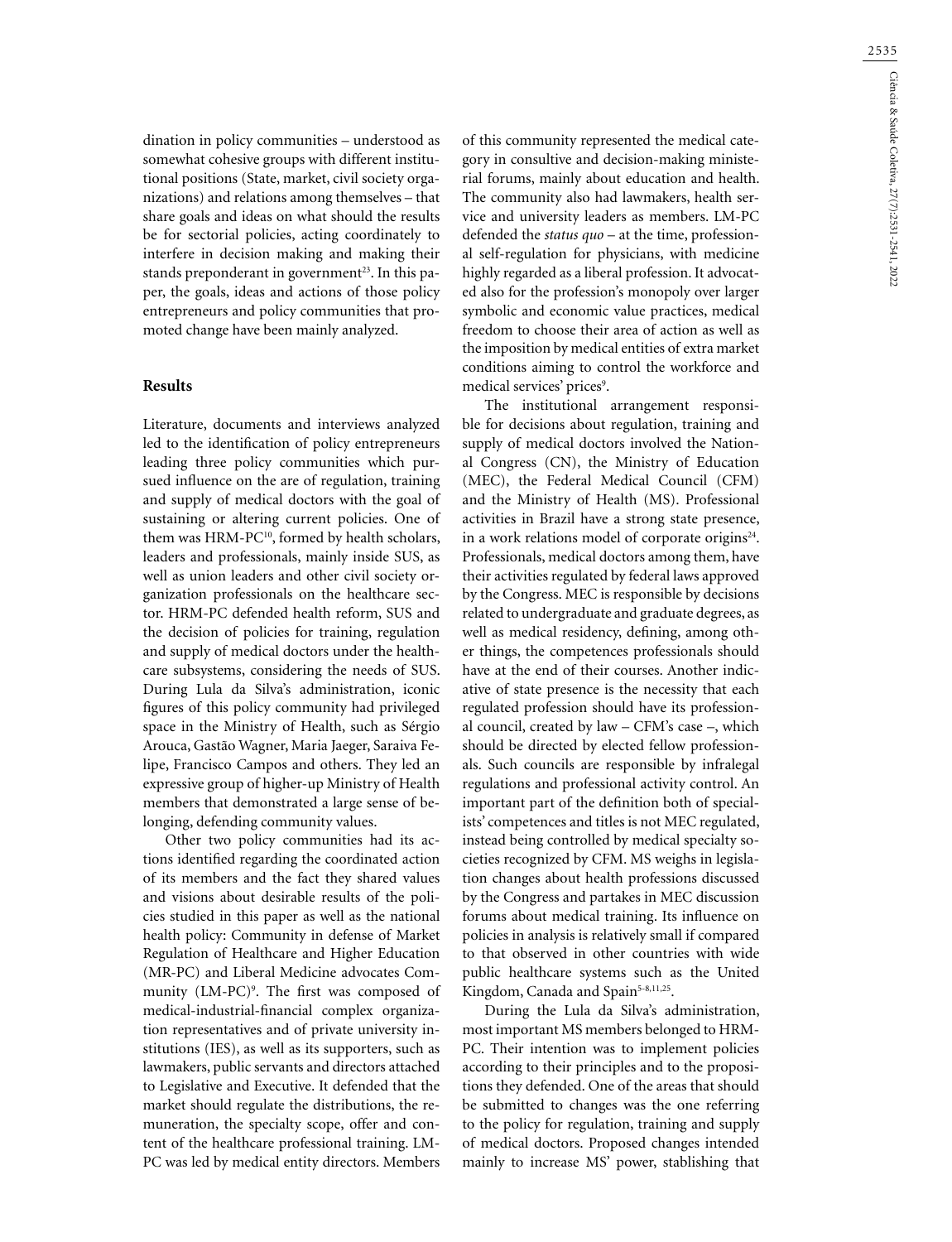dination in policy communities – understood as somewhat cohesive groups with different institutional positions (State, market, civil society organizations) and relations among themselves – that share goals and ideas on what should the results be for sectorial policies, acting coordinately to interfere in decision making and making their stands preponderant in government<sup>23</sup>. In this paper, the goals, ideas and actions of those policy entrepreneurs and policy communities that promoted change have been mainly analyzed.

#### **Results**

Literature, documents and interviews analyzed led to the identification of policy entrepreneurs leading three policy communities which pursued influence on the are of regulation, training and supply of medical doctors with the goal of sustaining or altering current policies. One of them was HRM-PC<sup>10</sup>, formed by health scholars, leaders and professionals, mainly inside SUS, as well as union leaders and other civil society organization professionals on the healthcare sector. HRM-PC defended health reform, SUS and the decision of policies for training, regulation and supply of medical doctors under the healthcare subsystems, considering the needs of SUS. During Lula da Silva's administration, iconic figures of this policy community had privileged space in the Ministry of Health, such as Sérgio Arouca, Gastão Wagner, Maria Jaeger, Saraiva Felipe, Francisco Campos and others. They led an expressive group of higher-up Ministry of Health members that demonstrated a large sense of belonging, defending community values.

Other two policy communities had its actions identified regarding the coordinated action of its members and the fact they shared values and visions about desirable results of the policies studied in this paper as well as the national health policy: Community in defense of Market Regulation of Healthcare and Higher Education (MR-PC) and Liberal Medicine advocates Community (LM-PC)<sup>9</sup>. The first was composed of medical-industrial-financial complex organization representatives and of private university institutions (IES), as well as its supporters, such as lawmakers, public servants and directors attached to Legislative and Executive. It defended that the market should regulate the distributions, the remuneration, the specialty scope, offer and content of the healthcare professional training. LM-PC was led by medical entity directors. Members

of this community represented the medical category in consultive and decision-making ministerial forums, mainly about education and health. The community also had lawmakers, health service and university leaders as members. LM-PC defended the *status quo* – at the time, professional self-regulation for physicians, with medicine highly regarded as a liberal profession. It advocated also for the profession's monopoly over larger symbolic and economic value practices, medical freedom to choose their area of action as well as the imposition by medical entities of extra market conditions aiming to control the workforce and medical services' prices<sup>9</sup>.

The institutional arrangement responsible for decisions about regulation, training and supply of medical doctors involved the National Congress (CN), the Ministry of Education (MEC), the Federal Medical Council (CFM) and the Ministry of Health (MS). Professional activities in Brazil have a strong state presence, in a work relations model of corporate origins<sup>24</sup>. Professionals, medical doctors among them, have their activities regulated by federal laws approved by the Congress. MEC is responsible by decisions related to undergraduate and graduate degrees, as well as medical residency, defining, among other things, the competences professionals should have at the end of their courses. Another indicative of state presence is the necessity that each regulated profession should have its professional council, created by law – CFM's case –, which should be directed by elected fellow professionals. Such councils are responsible by infralegal regulations and professional activity control. An important part of the definition both of specialists' competences and titles is not MEC regulated, instead being controlled by medical specialty societies recognized by CFM. MS weighs in legislation changes about health professions discussed by the Congress and partakes in MEC discussion forums about medical training. Its influence on policies in analysis is relatively small if compared to that observed in other countries with wide public healthcare systems such as the United Kingdom, Canada and Spain<sup>5-8,11,25</sup>.

During the Lula da Silva's administration, most important MS members belonged to HRM-PC. Their intention was to implement policies according to their principles and to the propositions they defended. One of the areas that should be submitted to changes was the one referring to the policy for regulation, training and supply of medical doctors. Proposed changes intended mainly to increase MS' power, stablishing that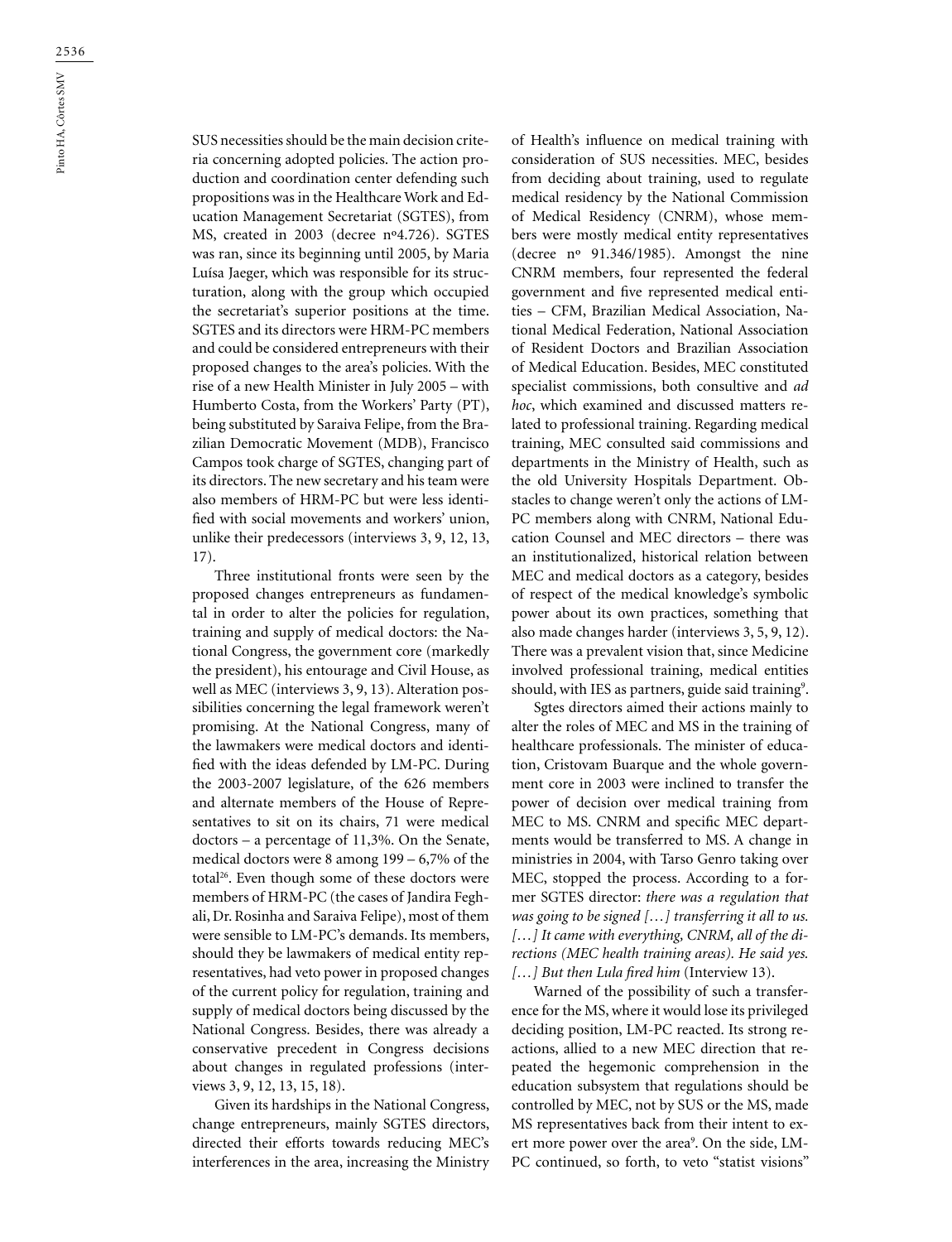SUS necessities should be the main decision criteria concerning adopted policies. The action production and coordination center defending such propositions was in the Healthcare Work and Education Management Secretariat (SGTES), from MS, created in 2003 (decree nº4.726). SGTES was ran, since its beginning until 2005, by Maria Luísa Jaeger, which was responsible for its structuration, along with the group which occupied the secretariat's superior positions at the time. SGTES and its directors were HRM-PC members and could be considered entrepreneurs with their proposed changes to the area's policies. With the rise of a new Health Minister in July 2005 – with Humberto Costa, from the Workers' Party (PT), being substituted by Saraiva Felipe, from the Brazilian Democratic Movement (MDB), Francisco Campos took charge of SGTES, changing part of its directors. The new secretary and his team were also members of HRM-PC but were less identified with social movements and workers' union, unlike their predecessors (interviews 3, 9, 12, 13, 17).

Three institutional fronts were seen by the proposed changes entrepreneurs as fundamental in order to alter the policies for regulation, training and supply of medical doctors: the National Congress, the government core (markedly the president), his entourage and Civil House, as well as MEC (interviews 3, 9, 13). Alteration possibilities concerning the legal framework weren't promising. At the National Congress, many of the lawmakers were medical doctors and identified with the ideas defended by LM-PC. During the 2003-2007 legislature, of the 626 members and alternate members of the House of Representatives to sit on its chairs, 71 were medical doctors – a percentage of 11,3%. On the Senate, medical doctors were 8 among 199 – 6,7% of the total<sup>26</sup>. Even though some of these doctors were members of HRM-PC (the cases of Jandira Feghali, Dr. Rosinha and Saraiva Felipe), most of them were sensible to LM-PC's demands. Its members, should they be lawmakers of medical entity representatives, had veto power in proposed changes of the current policy for regulation, training and supply of medical doctors being discussed by the National Congress. Besides, there was already a conservative precedent in Congress decisions about changes in regulated professions (interviews 3, 9, 12, 13, 15, 18).

Given its hardships in the National Congress, change entrepreneurs, mainly SGTES directors, directed their efforts towards reducing MEC's interferences in the area, increasing the Ministry of Health's influence on medical training with consideration of SUS necessities. MEC, besides from deciding about training, used to regulate medical residency by the National Commission of Medical Residency (CNRM), whose members were mostly medical entity representatives (decree nº 91.346/1985). Amongst the nine CNRM members, four represented the federal government and five represented medical entities – CFM, Brazilian Medical Association, National Medical Federation, National Association of Resident Doctors and Brazilian Association of Medical Education. Besides, MEC constituted specialist commissions, both consultive and *ad hoc*, which examined and discussed matters related to professional training. Regarding medical training, MEC consulted said commissions and departments in the Ministry of Health, such as the old University Hospitals Department. Obstacles to change weren't only the actions of LM-PC members along with CNRM, National Education Counsel and MEC directors – there was an institutionalized, historical relation between MEC and medical doctors as a category, besides of respect of the medical knowledge's symbolic power about its own practices, something that also made changes harder (interviews 3, 5, 9, 12). There was a prevalent vision that, since Medicine involved professional training, medical entities should, with IES as partners, guide said training<sup>9</sup>.

Sgtes directors aimed their actions mainly to alter the roles of MEC and MS in the training of healthcare professionals. The minister of education, Cristovam Buarque and the whole government core in 2003 were inclined to transfer the power of decision over medical training from MEC to MS. CNRM and specific MEC departments would be transferred to MS. A change in ministries in 2004, with Tarso Genro taking over MEC, stopped the process. According to a former SGTES director: *there was a regulation that was going to be signed […] transferring it all to us. […] It came with everything, CNRM, all of the directions (MEC health training areas). He said yes. […] But then Lula fired him* (Interview 13).

Warned of the possibility of such a transference for the MS, where it would lose its privileged deciding position, LM-PC reacted. Its strong reactions, allied to a new MEC direction that repeated the hegemonic comprehension in the education subsystem that regulations should be controlled by MEC, not by SUS or the MS, made MS representatives back from their intent to exert more power over the area<sup>9</sup>. On the side, LM-PC continued, so forth, to veto "statist visions"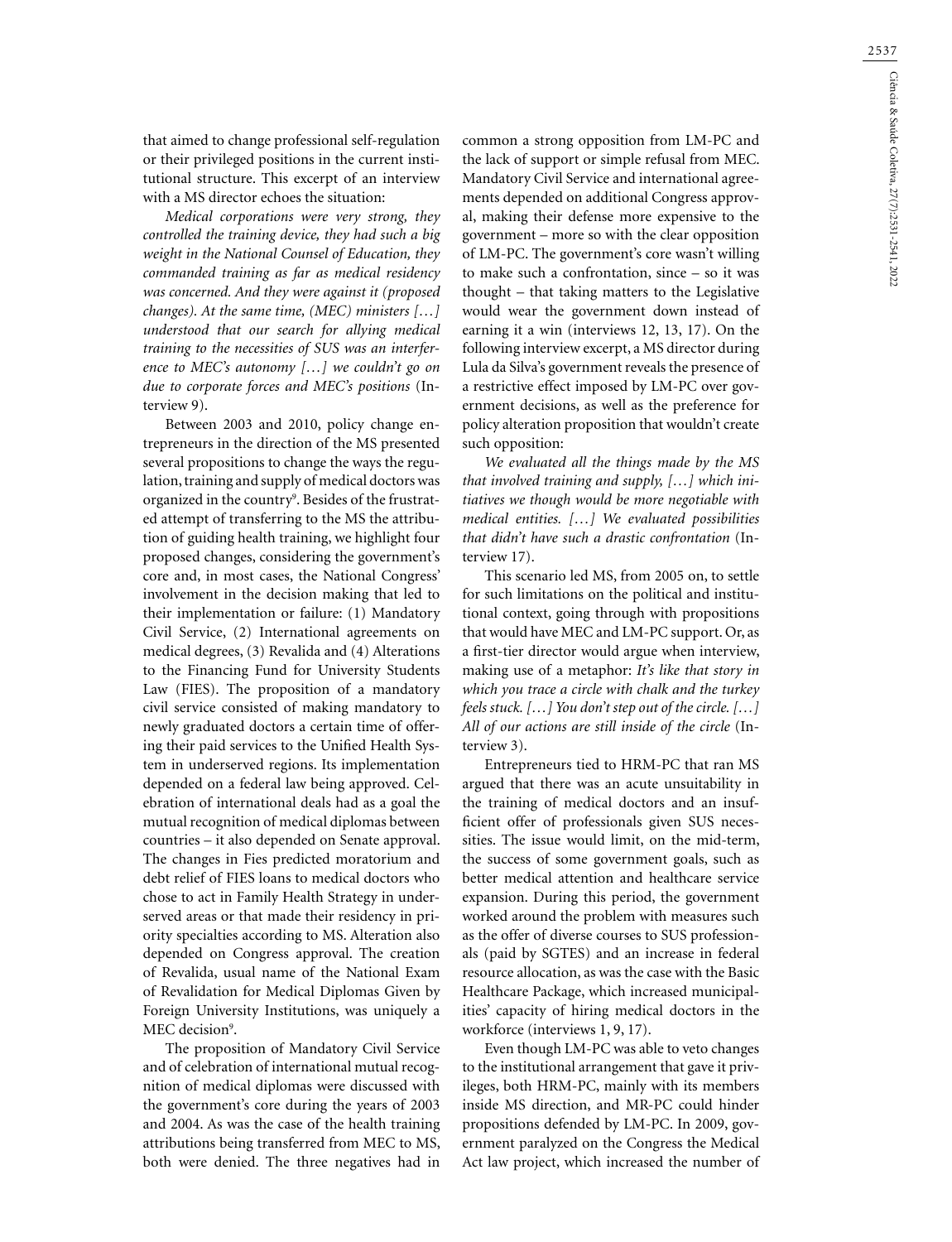that aimed to change professional self-regulation or their privileged positions in the current institutional structure. This excerpt of an interview with a MS director echoes the situation:

*Medical corporations were very strong, they controlled the training device, they had such a big weight in the National Counsel of Education, they commanded training as far as medical residency was concerned. And they were against it (proposed changes). At the same time, (MEC) ministers […] understood that our search for allying medical training to the necessities of SUS was an interference to MEC's autonomy […] we couldn't go on due to corporate forces and MEC's positions* (Interview 9).

Between 2003 and 2010, policy change entrepreneurs in the direction of the MS presented several propositions to change the ways the regulation, training and supply of medical doctors was organized in the country<sup>9</sup>. Besides of the frustrated attempt of transferring to the MS the attribution of guiding health training, we highlight four proposed changes, considering the government's core and, in most cases, the National Congress' involvement in the decision making that led to their implementation or failure: (1) Mandatory Civil Service, (2) International agreements on medical degrees, (3) Revalida and (4) Alterations to the Financing Fund for University Students Law (FIES). The proposition of a mandatory civil service consisted of making mandatory to newly graduated doctors a certain time of offering their paid services to the Unified Health System in underserved regions. Its implementation depended on a federal law being approved. Celebration of international deals had as a goal the mutual recognition of medical diplomas between countries – it also depended on Senate approval. The changes in Fies predicted moratorium and debt relief of FIES loans to medical doctors who chose to act in Family Health Strategy in underserved areas or that made their residency in priority specialties according to MS. Alteration also depended on Congress approval. The creation of Revalida, usual name of the National Exam of Revalidation for Medical Diplomas Given by Foreign University Institutions, was uniquely a MEC decision<sup>9</sup>.

The proposition of Mandatory Civil Service and of celebration of international mutual recognition of medical diplomas were discussed with the government's core during the years of 2003 and 2004. As was the case of the health training attributions being transferred from MEC to MS, both were denied. The three negatives had in

common a strong opposition from LM-PC and the lack of support or simple refusal from MEC. Mandatory Civil Service and international agreements depended on additional Congress approval, making their defense more expensive to the government – more so with the clear opposition of LM-PC. The government's core wasn't willing to make such a confrontation, since – so it was thought – that taking matters to the Legislative would wear the government down instead of earning it a win (interviews 12, 13, 17). On the following interview excerpt, a MS director during Lula da Silva's government reveals the presence of a restrictive effect imposed by LM-PC over government decisions, as well as the preference for policy alteration proposition that wouldn't create such opposition:

*We evaluated all the things made by the MS that involved training and supply, […] which initiatives we though would be more negotiable with medical entities. […] We evaluated possibilities that didn't have such a drastic confrontation* (Interview 17).

This scenario led MS, from 2005 on, to settle for such limitations on the political and institutional context, going through with propositions that would have MEC and LM-PC support. Or, as a first-tier director would argue when interview, making use of a metaphor: *It's like that story in which you trace a circle with chalk and the turkey feels stuck. […] You don't step out of the circle. […] All of our actions are still inside of the circle* (Interview 3).

Entrepreneurs tied to HRM-PC that ran MS argued that there was an acute unsuitability in the training of medical doctors and an insufficient offer of professionals given SUS necessities. The issue would limit, on the mid-term, the success of some government goals, such as better medical attention and healthcare service expansion. During this period, the government worked around the problem with measures such as the offer of diverse courses to SUS professionals (paid by SGTES) and an increase in federal resource allocation, as was the case with the Basic Healthcare Package, which increased municipalities' capacity of hiring medical doctors in the workforce (interviews 1, 9, 17).

Even though LM-PC was able to veto changes to the institutional arrangement that gave it privileges, both HRM-PC, mainly with its members inside MS direction, and MR-PC could hinder propositions defended by LM-PC. In 2009, government paralyzed on the Congress the Medical Act law project, which increased the number of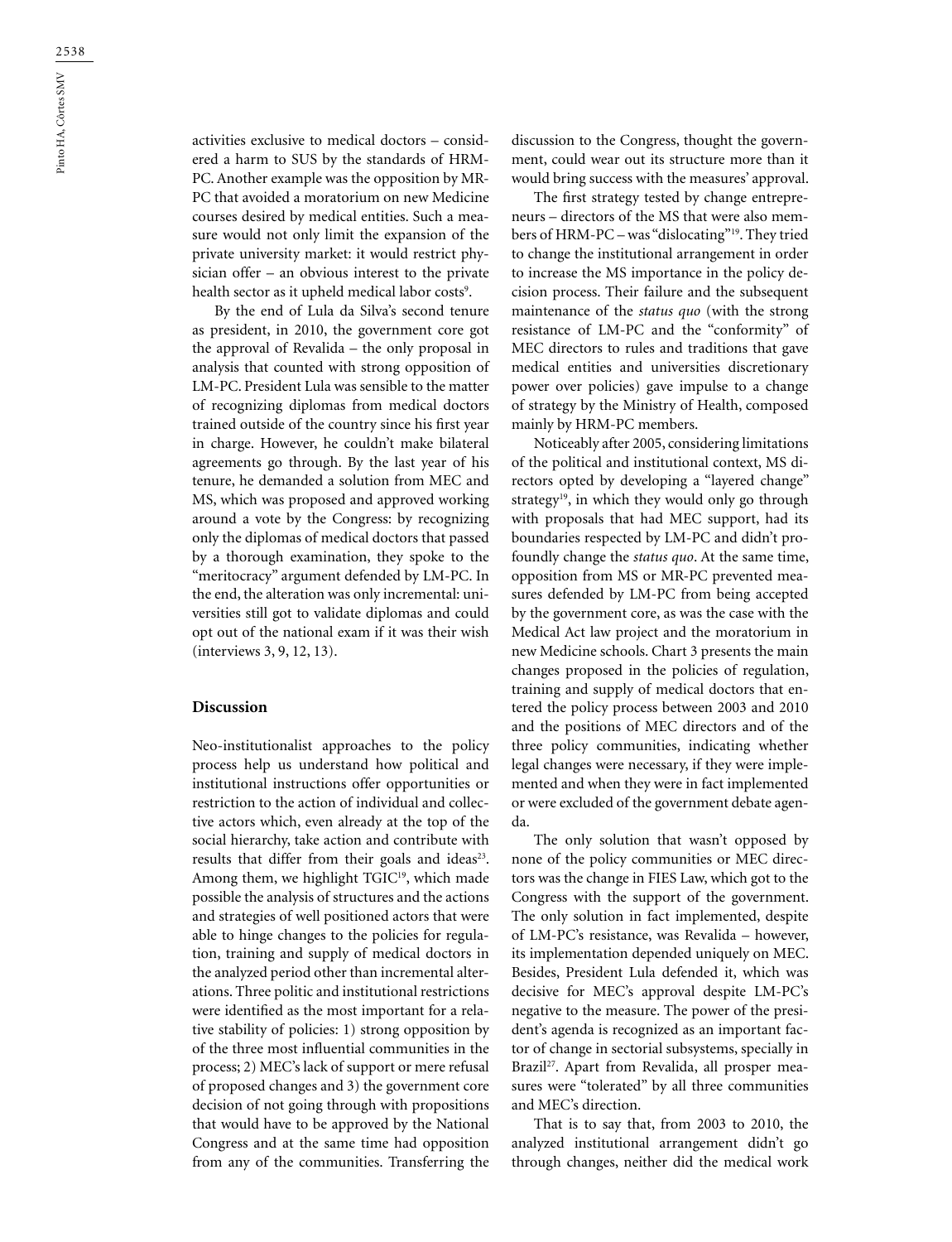activities exclusive to medical doctors – considered a harm to SUS by the standards of HRM-PC. Another example was the opposition by MR-PC that avoided a moratorium on new Medicine courses desired by medical entities. Such a measure would not only limit the expansion of the private university market: it would restrict physician offer – an obvious interest to the private health sector as it upheld medical labor costs<sup>9</sup>.

By the end of Lula da Silva's second tenure as president, in 2010, the government core got the approval of Revalida – the only proposal in analysis that counted with strong opposition of LM-PC. President Lula was sensible to the matter of recognizing diplomas from medical doctors trained outside of the country since his first year in charge. However, he couldn't make bilateral agreements go through. By the last year of his tenure, he demanded a solution from MEC and MS, which was proposed and approved working around a vote by the Congress: by recognizing only the diplomas of medical doctors that passed by a thorough examination, they spoke to the "meritocracy" argument defended by LM-PC. In the end, the alteration was only incremental: universities still got to validate diplomas and could opt out of the national exam if it was their wish (interviews 3, 9, 12, 13).

#### **Discussion**

Neo-institutionalist approaches to the policy process help us understand how political and institutional instructions offer opportunities or restriction to the action of individual and collective actors which, even already at the top of the social hierarchy, take action and contribute with results that differ from their goals and ideas<sup>23</sup>. Among them, we highlight TGIC<sup>19</sup>, which made possible the analysis of structures and the actions and strategies of well positioned actors that were able to hinge changes to the policies for regulation, training and supply of medical doctors in the analyzed period other than incremental alterations. Three politic and institutional restrictions were identified as the most important for a relative stability of policies: 1) strong opposition by of the three most influential communities in the process; 2) MEC's lack of support or mere refusal of proposed changes and 3) the government core decision of not going through with propositions that would have to be approved by the National Congress and at the same time had opposition from any of the communities. Transferring the

discussion to the Congress, thought the government, could wear out its structure more than it would bring success with the measures' approval.

The first strategy tested by change entrepreneurs – directors of the MS that were also members of HRM-PC – was "dislocating"19. They tried to change the institutional arrangement in order to increase the MS importance in the policy decision process. Their failure and the subsequent maintenance of the *status quo* (with the strong resistance of LM-PC and the "conformity" of MEC directors to rules and traditions that gave medical entities and universities discretionary power over policies) gave impulse to a change of strategy by the Ministry of Health, composed mainly by HRM-PC members.

Noticeably after 2005, considering limitations of the political and institutional context, MS directors opted by developing a "layered change" strategy<sup>19</sup>, in which they would only go through with proposals that had MEC support, had its boundaries respected by LM-PC and didn't profoundly change the *status quo*. At the same time, opposition from MS or MR-PC prevented measures defended by LM-PC from being accepted by the government core, as was the case with the Medical Act law project and the moratorium in new Medicine schools. Chart 3 presents the main changes proposed in the policies of regulation, training and supply of medical doctors that entered the policy process between 2003 and 2010 and the positions of MEC directors and of the three policy communities, indicating whether legal changes were necessary, if they were implemented and when they were in fact implemented or were excluded of the government debate agenda.

The only solution that wasn't opposed by none of the policy communities or MEC directors was the change in FIES Law, which got to the Congress with the support of the government. The only solution in fact implemented, despite of LM-PC's resistance, was Revalida – however, its implementation depended uniquely on MEC. Besides, President Lula defended it, which was decisive for MEC's approval despite LM-PC's negative to the measure. The power of the president's agenda is recognized as an important factor of change in sectorial subsystems, specially in Brazil<sup>27</sup>. Apart from Revalida, all prosper measures were "tolerated" by all three communities and MEC's direction.

That is to say that, from 2003 to 2010, the analyzed institutional arrangement didn't go through changes, neither did the medical work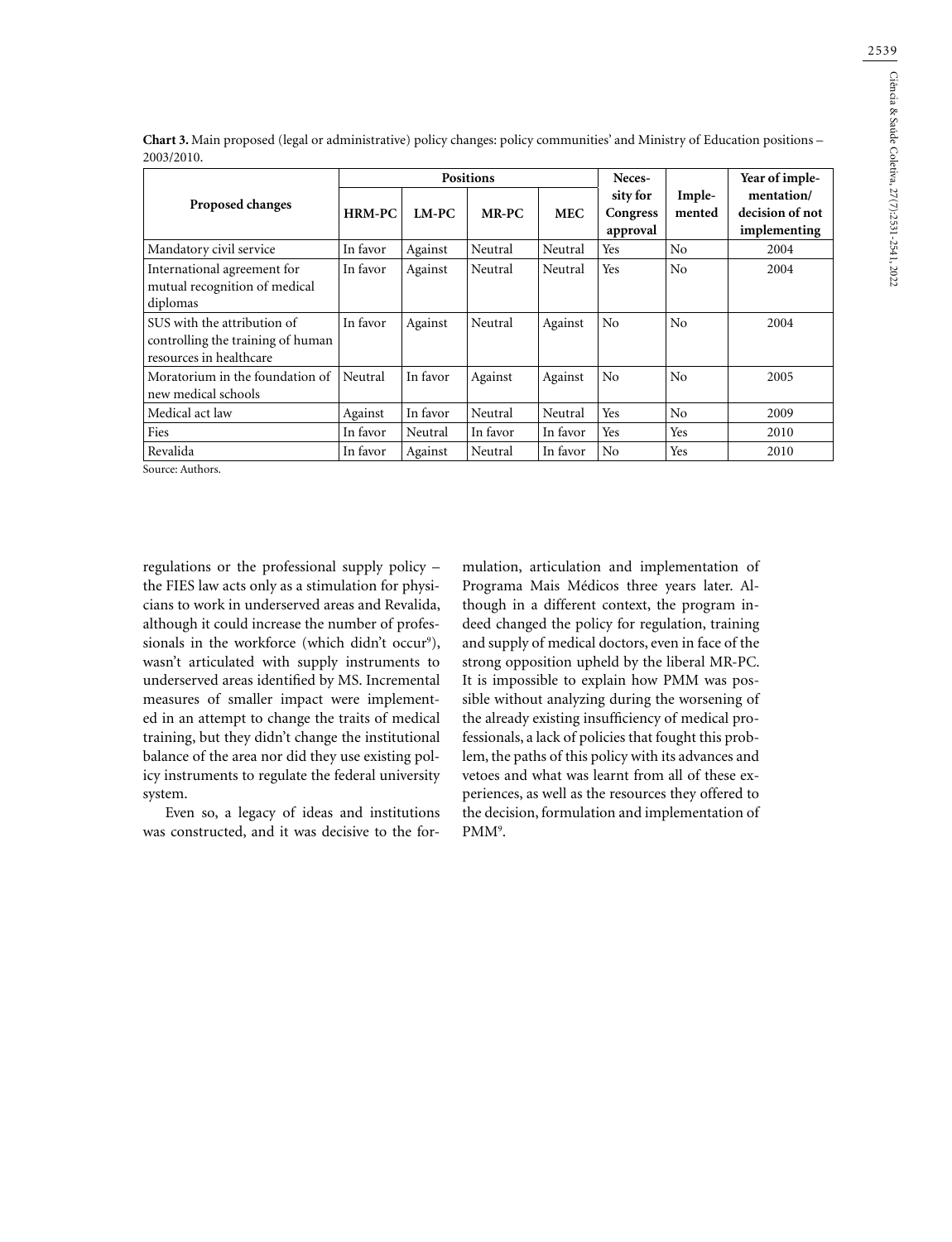|                                                                                             | <b>Positions</b> |          |          | Neces-     |                                  | Year of imple-   |                                               |
|---------------------------------------------------------------------------------------------|------------------|----------|----------|------------|----------------------------------|------------------|-----------------------------------------------|
| <b>Proposed changes</b>                                                                     | <b>HRM-PC</b>    | $LM-PC$  | $MR-PC$  | <b>MEC</b> | sity for<br>Congress<br>approval | Imple-<br>mented | mentation/<br>decision of not<br>implementing |
| Mandatory civil service                                                                     | In favor         | Against  | Neutral  | Neutral    | Yes                              | No               | 2004                                          |
| International agreement for<br>mutual recognition of medical<br>diplomas                    | In favor         | Against  | Neutral  | Neutral    | Yes                              | No               | 2004                                          |
| SUS with the attribution of<br>controlling the training of human<br>resources in healthcare | In favor         | Against  | Neutral  | Against    | No                               | No               | 2004                                          |
| Moratorium in the foundation of<br>new medical schools                                      | Neutral          | In favor | Against  | Against    | No                               | N <sub>0</sub>   | 2005                                          |
| Medical act law                                                                             | Against          | In favor | Neutral  | Neutral    | Yes                              | No               | 2009                                          |
| Fies                                                                                        | In favor         | Neutral  | In favor | In favor   | Yes                              | Yes              | 2010                                          |
| Revalida                                                                                    | In favor         | Against  | Neutral  | In favor   | No                               | Yes              | 2010                                          |

**Chart 3.** Main proposed (legal or administrative) policy changes: policy communities' and Ministry of Education positions – 2003/2010.

Source: Authors.

regulations or the professional supply policy – the FIES law acts only as a stimulation for physicians to work in underserved areas and Revalida, although it could increase the number of professionals in the workforce (which didn't occur<sup>9</sup>), wasn't articulated with supply instruments to underserved areas identified by MS. Incremental measures of smaller impact were implemented in an attempt to change the traits of medical training, but they didn't change the institutional balance of the area nor did they use existing policy instruments to regulate the federal university system.

Even so, a legacy of ideas and institutions was constructed, and it was decisive to the formulation, articulation and implementation of Programa Mais Médicos three years later. Although in a different context, the program indeed changed the policy for regulation, training and supply of medical doctors, even in face of the strong opposition upheld by the liberal MR-PC. It is impossible to explain how PMM was possible without analyzing during the worsening of the already existing insufficiency of medical professionals, a lack of policies that fought this problem, the paths of this policy with its advances and vetoes and what was learnt from all of these experiences, as well as the resources they offered to the decision, formulation and implementation of PMM<sup>9</sup>.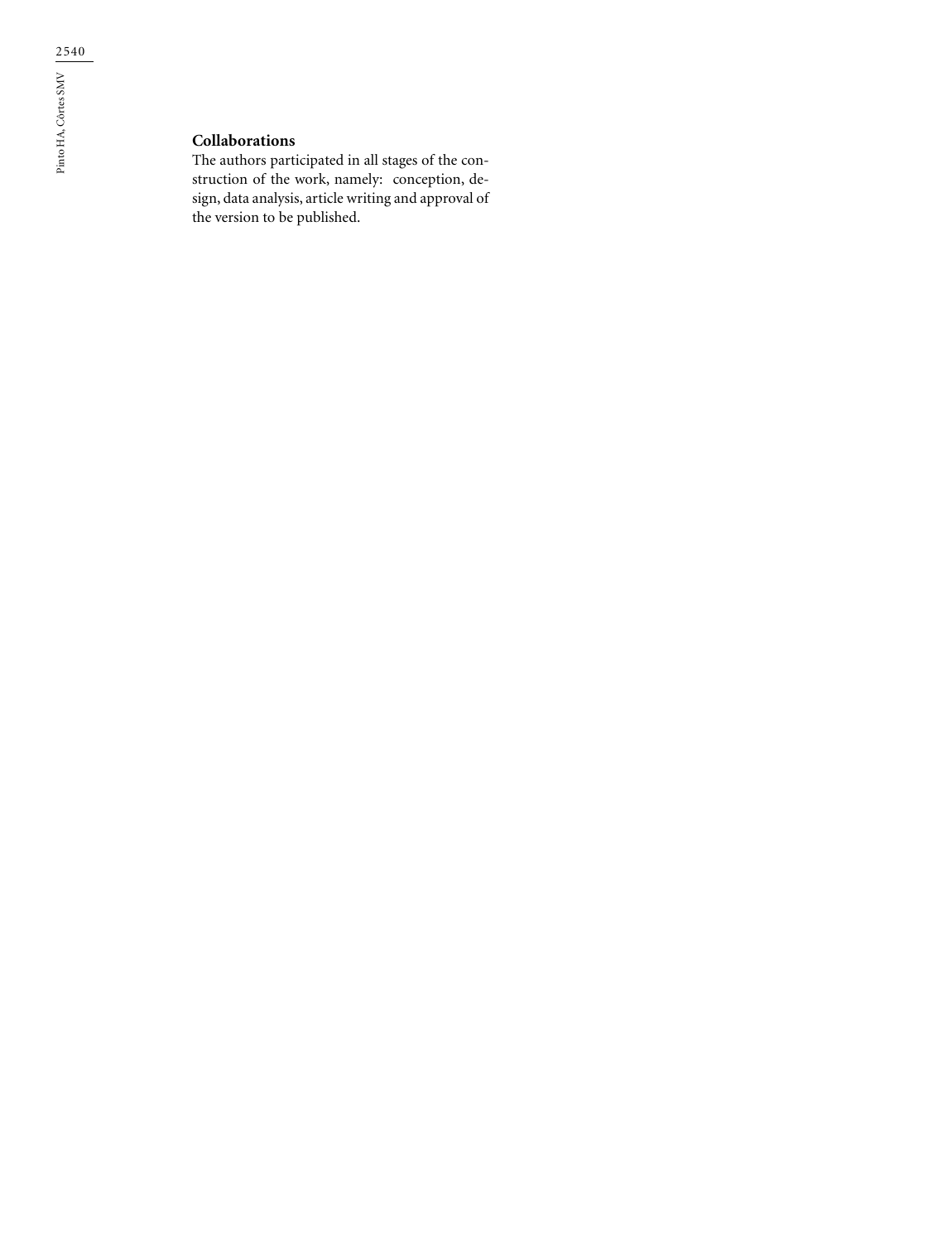## **Collaborations**

The authors participated in all stages of the construction of the work, namely: conception, design, data analysis, article writing and approval of the version to be published.